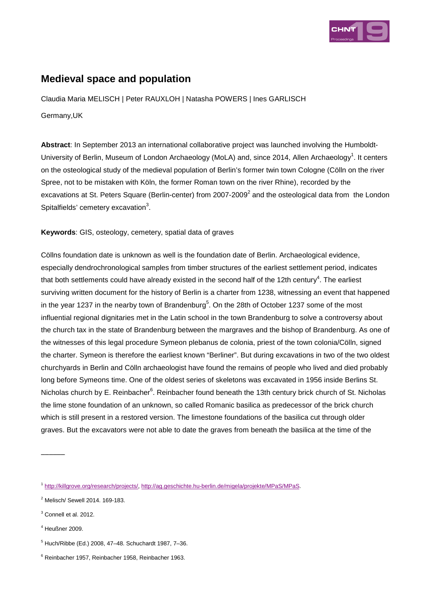

## **Medieval space and population**

Claudia Maria MELISCH | Peter RAUXLOH | Natasha POWERS | Ines GARLISCH

Germany,UK

**Abstract**: In September 2013 an international collaborative project was launched involving the Humboldt-University of Berlin, Museum of London Archaeology (MoLA) and, since 2014, Allen Archaeology<sup>1</sup>. It centers on the osteological study of the medieval population of Berlin's former twin town Cologne (Cölln on the river Spree, not to be mistaken with Köln, the former Roman town on the river Rhine), recorded by the excavations at St. Peters Square (Berlin-center) from 2007-2009<sup>2</sup> and the osteological data from the London Spitalfields' cemetery excavation $3$ .

**Keywords**: GIS, osteology, cemetery, spatial data of graves

Cöllns foundation date is unknown as well is the foundation date of Berlin. Archaeological evidence, especially dendrochronological samples from timber structures of the earliest settlement period, indicates that both settlements could have already existed in the second half of the 12th century<sup>4</sup>. The earliest surviving written document for the history of Berlin is a charter from 1238, witnessing an event that happened in the year 1237 in the nearby town of Brandenburg<sup>5</sup>. On the 28th of October 1237 some of the most influential regional dignitaries met in the Latin school in the town Brandenburg to solve a controversy about the church tax in the state of Brandenburg between the margraves and the bishop of Brandenburg. As one of the witnesses of this legal procedure Symeon plebanus de colonia, priest of the town colonia/Cölln, signed the charter. Symeon is therefore the earliest known "Berliner". But during excavations in two of the two oldest churchyards in Berlin and Cölln archaeologist have found the remains of people who lived and died probably long before Symeons time. One of the oldest series of skeletons was excavated in 1956 inside Berlins St. Nicholas church by E. Reinbacher<sup>6</sup>. Reinbacher found beneath the 13th century brick church of St. Nicholas the lime stone foundation of an unknown, so called Romanic basilica as predecessor of the brick church which is still present in a restored version. The limestone foundations of the basilica cut through older graves. But the excavators were not able to date the graves from beneath the basilica at the time of the

4 Heußner 2009.

<sup>1</sup> http://killgrove.org/research/projects/, http://ag.geschichte.hu-berlin.de/migela/projekte/MPaS/MPaS.

 $2$  Melisch/ Sewell 2014. 169-183.

<sup>&</sup>lt;sup>3</sup> Connell et al. 2012.

<sup>5</sup> Huch/Ribbe (Ed.) 2008, 47–48. Schuchardt 1987, 7–36.

<sup>6</sup> Reinbacher 1957, Reinbacher 1958, Reinbacher 1963.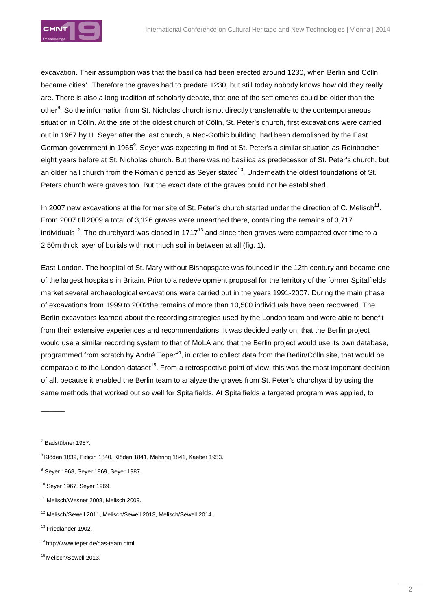

excavation. Their assumption was that the basilica had been erected around 1230, when Berlin and Cölln became cities<sup>7</sup>. Therefore the graves had to predate 1230, but still today nobody knows how old they really are. There is also a long tradition of scholarly debate, that one of the settlements could be older than the other<sup>8</sup>. So the information from St. Nicholas church is not directly transferrable to the contemporaneous situation in Cölln. At the site of the oldest church of Cölln, St. Peter's church, first excavations were carried out in 1967 by H. Seyer after the last church, a Neo-Gothic building, had been demolished by the East German government in 1965 $^9$ . Seyer was expecting to find at St. Peter's a similar situation as Reinbacher eight years before at St. Nicholas church. But there was no basilica as predecessor of St. Peter's church, but an older hall church from the Romanic period as Sever stated<sup>10</sup>. Underneath the oldest foundations of St. Peters church were graves too. But the exact date of the graves could not be established.

In 2007 new excavations at the former site of St. Peter's church started under the direction of C. Melisch<sup>11</sup>. From 2007 till 2009 a total of 3,126 graves were unearthed there, containing the remains of 3,717 individuals<sup>12</sup>. The churchyard was closed in 1717<sup>13</sup> and since then graves were compacted over time to a 2,50m thick layer of burials with not much soil in between at all (fig. 1).

East London. The hospital of St. Mary without Bishopsgate was founded in the 12th century and became one of the largest hospitals in Britain. Prior to a redevelopment proposal for the territory of the former Spitalfields market several archaeological excavations were carried out in the years 1991-2007. During the main phase of excavations from 1999 to 2002the remains of more than 10,500 individuals have been recovered. The Berlin excavators learned about the recording strategies used by the London team and were able to benefit from their extensive experiences and recommendations. It was decided early on, that the Berlin project would use a similar recording system to that of MoLA and that the Berlin project would use its own database, programmed from scratch by André Teper<sup>14</sup>, in order to collect data from the Berlin/Cölln site, that would be comparable to the London dataset<sup>15</sup>. From a retrospective point of view, this was the most important decision of all, because it enabled the Berlin team to analyze the graves from St. Peter's churchyard by using the same methods that worked out so well for Spitalfields. At Spitalfields a targeted program was applied, to

7 Badstübner 1987.

 $\overline{\phantom{a}}$ 

<sup>8</sup> Klöden 1839, Fidicin 1840, Klöden 1841, Mehring 1841, Kaeber 1953.

- <sup>11</sup> Melisch/Wesner 2008, Melisch 2009.
- <sup>12</sup> Melisch/Sewell 2011, Melisch/Sewell 2013, Melisch/Sewell 2014.

<sup>13</sup> Friedländer 1902.

<sup>14</sup>http://www.teper.de/das-team.html

<sup>9</sup> Seyer 1968, Seyer 1969, Seyer 1987.

<sup>10</sup> Seyer 1967, Seyer 1969.

<sup>&</sup>lt;sup>15</sup> Melisch/Sewell 2013.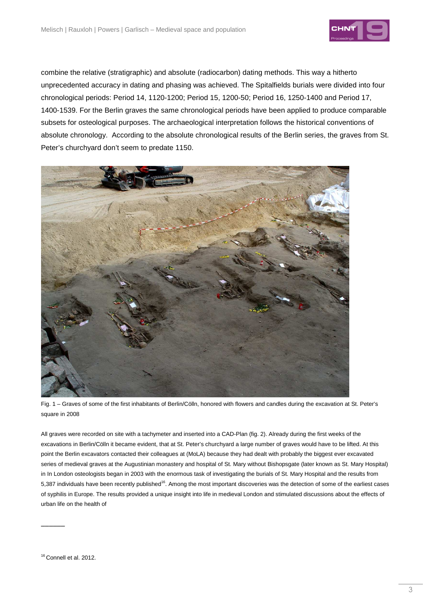

combine the relative (stratigraphic) and absolute (radiocarbon) dating methods. This way a hitherto unprecedented accuracy in dating and phasing was achieved. The Spitalfields burials were divided into four chronological periods: Period 14, 1120-1200; Period 15, 1200-50; Period 16, 1250-1400 and Period 17, 1400-1539. For the Berlin graves the same chronological periods have been applied to produce comparable subsets for osteological purposes. The archaeological interpretation follows the historical conventions of absolute chronology. According to the absolute chronological results of the Berlin series, the graves from St. Peter's churchyard don't seem to predate 1150.



Fig. 1 – Graves of some of the first inhabitants of Berlin/Cölln, honored with flowers and candles during the excavation at St. Peter's square in 2008

All graves were recorded on site with a tachymeter and inserted into a CAD-Plan (fig. 2). Already during the first weeks of the excavations in Berlin/Cölln it became evident, that at St. Peter's churchyard a large number of graves would have to be lifted. At this point the Berlin excavators contacted their colleagues at (MoLA) because they had dealt with probably the biggest ever excavated series of medieval graves at the Augustinian monastery and hospital of St. Mary without Bishopsgate (later known as St. Mary Hospital) in In London osteologists began in 2003 with the enormous task of investigating the burials of St. Mary Hospital and the results from 5,387 individuals have been recently published<sup>16</sup>. Among the most important discoveries was the detection of some of the earliest cases of syphilis in Europe. The results provided a unique insight into life in medieval London and stimulated discussions about the effects of urban life on the health of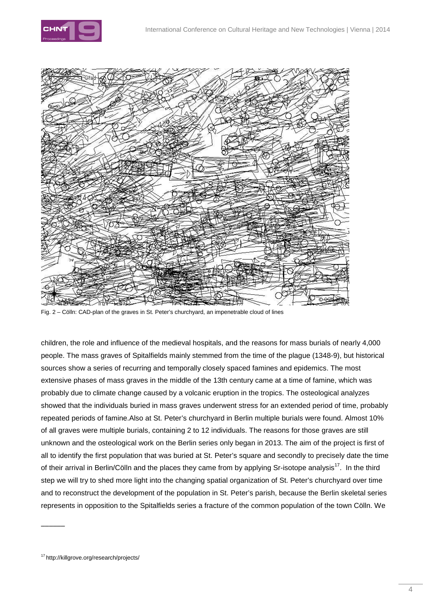



Fig. 2 – Cölln: CAD-plan of the graves in St. Peter's churchyard, an impenetrable cloud of lines

children, the role and influence of the medieval hospitals, and the reasons for mass burials of nearly 4,000 people. The mass graves of Spitalfields mainly stemmed from the time of the plague (1348-9), but historical sources show a series of recurring and temporally closely spaced famines and epidemics. The most extensive phases of mass graves in the middle of the 13th century came at a time of famine, which was probably due to climate change caused by a volcanic eruption in the tropics. The osteological analyzes showed that the individuals buried in mass graves underwent stress for an extended period of time, probably repeated periods of famine.Also at St. Peter's churchyard in Berlin multiple burials were found. Almost 10% of all graves were multiple burials, containing 2 to 12 individuals. The reasons for those graves are still unknown and the osteological work on the Berlin series only began in 2013. The aim of the project is first of all to identify the first population that was buried at St. Peter's square and secondly to precisely date the time of their arrival in Berlin/Cölln and the places they came from by applying Sr-isotope analysis<sup>17</sup>. In the third step we will try to shed more light into the changing spatial organization of St. Peter's churchyard over time and to reconstruct the development of the population in St. Peter's parish, because the Berlin skeletal series represents in opposition to the Spitalfields series a fracture of the common population of the town Cölln. We

<sup>17</sup>http://killgrove.org/research/projects/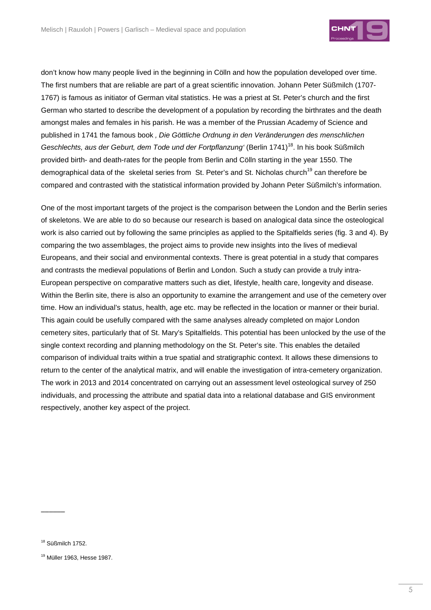

don't know how many people lived in the beginning in Cölln and how the population developed over time. The first numbers that are reliable are part of a great scientific innovation. Johann Peter Süßmilch (1707- 1767) is famous as initiator of German vital statistics. He was a priest at St. Peter's church and the first German who started to describe the development of a population by recording the birthrates and the death amongst males and females in his parish. He was a member of the Prussian Academy of Science and published in 1741 the famous book, Die Göttliche Ordnung in den Veränderungen des menschlichen Geschlechts, aus der Geburt, dem Tode und der Fortpflanzung' (Berlin 1741)<sup>18</sup>. In his book Süßmilch provided birth- and death-rates for the people from Berlin and Cölln starting in the year 1550. The demographical data of the skeletal series from St. Peter's and St. Nicholas church<sup>19</sup> can therefore be compared and contrasted with the statistical information provided by Johann Peter Süßmilch's information.

One of the most important targets of the project is the comparison between the London and the Berlin series of skeletons. We are able to do so because our research is based on analogical data since the osteological work is also carried out by following the same principles as applied to the Spitalfields series (fig. 3 and 4). By comparing the two assemblages, the project aims to provide new insights into the lives of medieval Europeans, and their social and environmental contexts. There is great potential in a study that compares and contrasts the medieval populations of Berlin and London. Such a study can provide a truly intra-European perspective on comparative matters such as diet, lifestyle, health care, longevity and disease. Within the Berlin site, there is also an opportunity to examine the arrangement and use of the cemetery over time. How an individual's status, health, age etc. may be reflected in the location or manner or their burial. This again could be usefully compared with the same analyses already completed on major London cemetery sites, particularly that of St. Mary's Spitalfields. This potential has been unlocked by the use of the single context recording and planning methodology on the St. Peter's site. This enables the detailed comparison of individual traits within a true spatial and stratigraphic context. It allows these dimensions to return to the center of the analytical matrix, and will enable the investigation of intra-cemetery organization. The work in 2013 and 2014 concentrated on carrying out an assessment level osteological survey of 250 individuals, and processing the attribute and spatial data into a relational database and GIS environment respectively, another key aspect of the project.

<sup>18</sup> Süßmilch 1752.

<sup>19</sup> Müller 1963, Hesse 1987.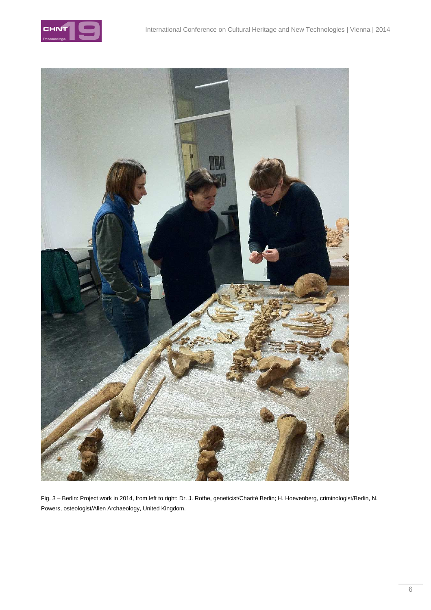



Fig. 3 – Berlin: Project work in 2014, from left to right: Dr. J. Rothe, geneticist/Charité Berlin; H. Hoevenberg, criminologist/Berlin, N. Powers, osteologist/Allen Archaeology, United Kingdom.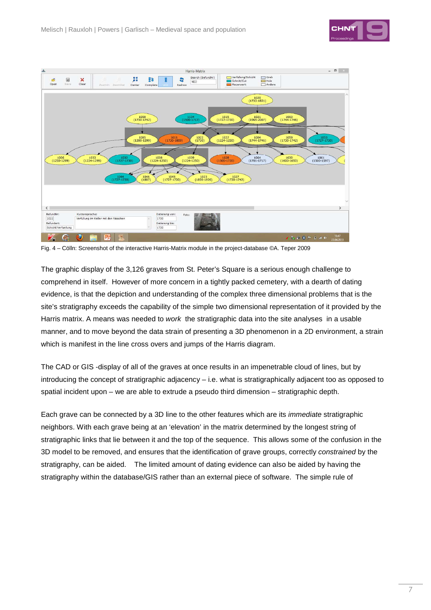



Fig. 4 – Cölln: Screenshot of the interactive Harris-Matrix module in the project-database ©A. Teper 2009

The graphic display of the 3,126 graves from St. Peter's Square is a serious enough challenge to comprehend in itself. However of more concern in a tightly packed cemetery, with a dearth of dating evidence, is that the depiction and understanding of the complex three dimensional problems that is the site's stratigraphy exceeds the capability of the simple two dimensional representation of it provided by the Harris matrix. A means was needed to *work* the stratigraphic data into the site analyses in a usable manner, and to move beyond the data strain of presenting a 3D phenomenon in a 2D environment, a strain which is manifest in the line cross overs and jumps of the Harris diagram.

The CAD or GIS -display of all of the graves at once results in an impenetrable cloud of lines, but by introducing the concept of stratigraphic adjacency – i.e. what is stratigraphically adjacent too as opposed to spatial incident upon – we are able to extrude a pseudo third dimension – stratigraphic depth.

Each grave can be connected by a 3D line to the other features which are its immediate stratigraphic neighbors. With each grave being at an 'elevation' in the matrix determined by the longest string of stratigraphic links that lie between it and the top of the sequence. This allows some of the confusion in the 3D model to be removed, and ensures that the identification of grave groups, correctly constrained by the stratigraphy, can be aided. The limited amount of dating evidence can also be aided by having the stratigraphy within the database/GIS rather than an external piece of software. The simple rule of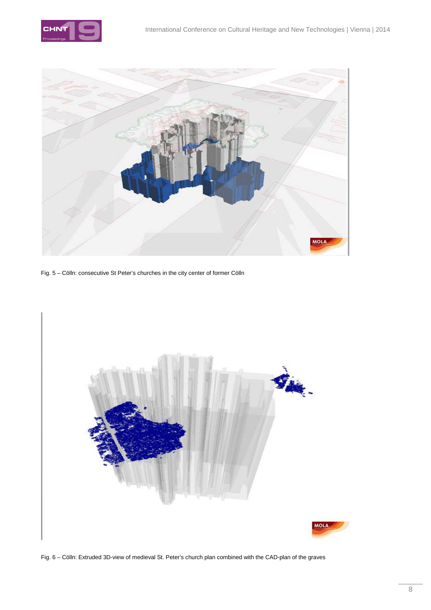



Fig. 5 – Cölln: consecutive St Peter's churches in the city center of former Cölln



Fig. 6 – Cölln: Extruded 3D-view of medieval St. Peter's church plan combined with the CAD-plan of the graves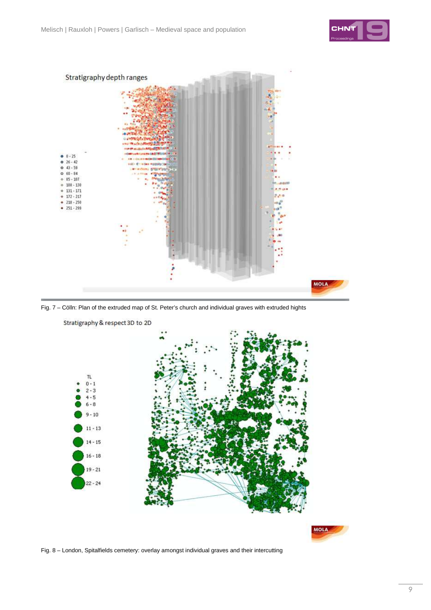







Stratigraphy & respect 3D to 2D



Fig. 8 – London, Spitalfields cemetery: overlay amongst individual graves and their intercutting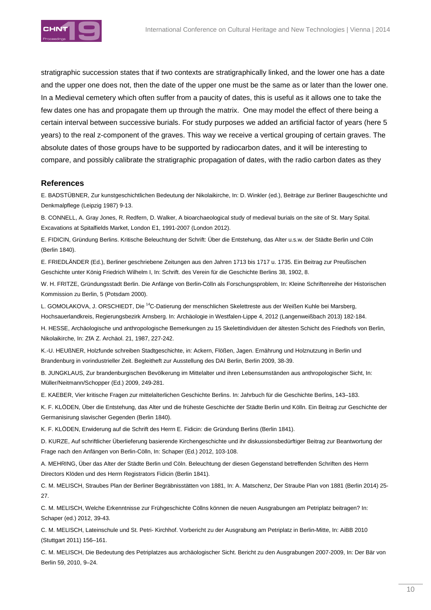

stratigraphic succession states that if two contexts are stratigraphically linked, and the lower one has a date and the upper one does not, then the date of the upper one must be the same as or later than the lower one. In a Medieval cemetery which often suffer from a paucity of dates, this is useful as it allows one to take the few dates one has and propagate them up through the matrix. One may model the effect of there being a certain interval between successive burials. For study purposes we added an artificial factor of years (here 5 years) to the real z-component of the graves. This way we receive a vertical grouping of certain graves. The absolute dates of those groups have to be supported by radiocarbon dates, and it will be interesting to compare, and possibly calibrate the stratigraphic propagation of dates, with the radio carbon dates as they

## **References**

E. BADSTÜBNER, Zur kunstgeschichtlichen Bedeutung der Nikolaikirche, In: D. Winkler (ed.), Beiträge zur Berliner Baugeschichte und Denkmalpflege (Leipzig 1987) 9-13.

B. CONNELL, A. Gray Jones, R. Redfern, D. Walker, A bioarchaeological study of medieval burials on the site of St. Mary Spital. Excavations at Spitalfields Market, London E1, 1991-2007 (London 2012).

E. FIDICIN, Gründung Berlins. Kritische Beleuchtung der Schrift: Über die Entstehung, das Alter u.s.w. der Städte Berlin und Cöln (Berlin 1840).

E. FRIEDLÄNDER (Ed.), Berliner geschriebene Zeitungen aus den Jahren 1713 bis 1717 u. 1735. Ein Beitrag zur Preußischen Geschichte unter König Friedrich Wilhelm I, In: Schrift. des Verein für die Geschichte Berlins 38, 1902, 8.

W. H. FRITZE, Gründungsstadt Berlin. Die Anfänge von Berlin-Cölln als Forschungsproblem, In: Kleine Schriftenreihe der Historischen Kommission zu Berlin, 5 (Potsdam 2000).

L. GOMOLAKOVA, J. ORSCHIEDT, Die <sup>14</sup>C-Datierung der menschlichen Skelettreste aus der Weißen Kuhle bei Marsberg, Hochsauerlandkreis, Regierungsbezirk Arnsberg. In: Archäologie in Westfalen-Lippe 4, 2012 (Langenweißbach 2013) 182-184.

H. HESSE, Archäologische und anthropologische Bemerkungen zu 15 Skelettindividuen der ältesten Schicht des Friedhofs von Berlin, Nikolaikirche, In: ZfA Z. Archäol. 21, 1987, 227-242.

K.-U. HEUßNER, Holzfunde schreiben Stadtgeschichte, in: Ackern, Flößen, Jagen. Ernährung und Holznutzung in Berlin und Brandenburg in vorindustrieller Zeit. Begleitheft zur Ausstellung des DAI Berlin, Berlin 2009, 38-39.

B. JUNGKLAUS, Zur brandenburgischen Bevölkerung im Mittelalter und ihren Lebensumständen aus anthropologischer Sicht, In: Müller/Neitmann/Schopper (Ed.) 2009, 249-281.

E. KAEBER, Vier kritische Fragen zur mittelalterlichen Geschichte Berlins. In: Jahrbuch für die Geschichte Berlins, 143–183.

K. F. KLÖDEN, Über die Entstehung, das Alter und die früheste Geschichte der Städte Berlin und Kölln. Ein Beitrag zur Geschichte der Germanisirung slavischer Gegenden (Berlin 1840).

K. F. KLÖDEN, Erwiderung auf die Schrift des Herrn E. Fidicin: die Gründung Berlins (Berlin 1841).

D. KURZE, Auf schriftlicher Überlieferung basierende Kirchengeschichte und ihr diskussionsbedürftiger Beitrag zur Beantwortung der Frage nach den Anfängen von Berlin-Cölln, In: Schaper (Ed.) 2012, 103-108.

A. MEHRING, Über das Alter der Städte Berlin und Cöln. Beleuchtung der diesen Gegenstand betreffenden Schriften des Herrn Directors Klöden und des Herrn Registrators Fidicin (Berlin 1841).

C. M. MELISCH, Straubes Plan der Berliner Begräbnisstätten von 1881, In: A. Matschenz, Der Straube Plan von 1881 (Berlin 2014) 25- 27.

C. M. MELISCH, Welche Erkenntnisse zur Frühgeschichte Cöllns können die neuen Ausgrabungen am Petriplatz beitragen? In: Schaper (ed.) 2012, 39-43.

C. M. MELISCH, Lateinschule und St. Petri- Kirchhof. Vorbericht zu der Ausgrabung am Petriplatz in Berlin-Mitte, In: AiBB 2010 (Stuttgart 2011) 156–161.

C. M. MELISCH, Die Bedeutung des Petriplatzes aus archäologischer Sicht. Bericht zu den Ausgrabungen 2007-2009, In: Der Bär von Berlin 59, 2010, 9–24.